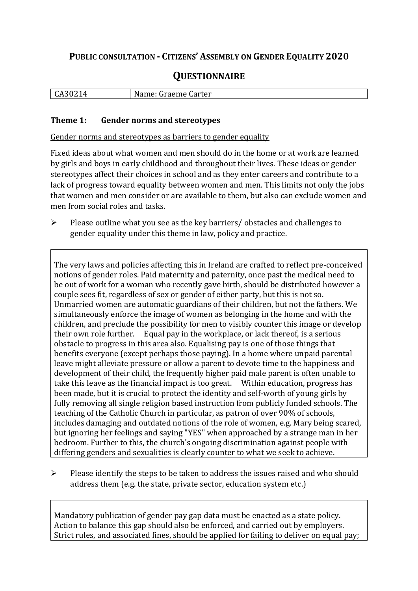## **PUBLIC CONSULTATION - CITIZENS' ASSEMBLY ON GENDER EQUALITY 2020**

# **QUESTIONNAIRE**

| 1 C<br>$\mathbf{r}$<br>,,,<br>н<br>. . | N<br>Carter<br>$\mathbf{m}$<br>$\sim$ $\sim$<br>-----<br>лпе :<br>udel<br>. |
|----------------------------------------|-----------------------------------------------------------------------------|
|                                        |                                                                             |

#### **Theme 1: Gender norms and stereotypes**

Gender norms and stereotypes as barriers to gender equality

Fixed ideas about what women and men should do in the home or at work are learned by girls and boys in early childhood and throughout their lives. These ideas or gender stereotypes affect their choices in school and as they enter careers and contribute to a lack of progress toward equality between women and men. This limits not only the jobs that women and men consider or are available to them, but also can exclude women and men from social roles and tasks.

 $\triangleright$  Please outline what you see as the key barriers/ obstacles and challenges to gender equality under this theme in law, policy and practice.

The very laws and policies affecting this in Ireland are crafted to reflect pre-conceived notions of gender roles. Paid maternity and paternity, once past the medical need to be out of work for a woman who recently gave birth, should be distributed however a couple sees fit, regardless of sex or gender of either party, but this is not so. Unmarried women are automatic guardians of their children, but not the fathers. We simultaneously enforce the image of women as belonging in the home and with the children, and preclude the possibility for men to visibly counter this image or develop their own role further. Equal pay in the workplace, or lack thereof, is a serious obstacle to progress in this area also. Equalising pay is one of those things that benefits everyone (except perhaps those paying). In a home where unpaid parental leave might alleviate pressure or allow a parent to devote time to the happiness and development of their child, the frequently higher paid male parent is often unable to take this leave as the financial impact is too great. Within education, progress has been made, but it is crucial to protect the identity and self-worth of young girls by fully removing all single religion based instruction from publicly funded schools. The teaching of the Catholic Church in particular, as patron of over 90% of schools, includes damaging and outdated notions of the role of women, e.g. Mary being scared, but ignoring her feelings and saying "YES" when approached by a strange man in her bedroom. Further to this, the church's ongoing discrimination against people with differing genders and sexualities is clearly counter to what we seek to achieve.

 $\triangleright$  Please identify the steps to be taken to address the issues raised and who should address them (e.g. the state, private sector, education system etc.)

Mandatory publication of gender pay gap data must be enacted as a state policy. Action to balance this gap should also be enforced, and carried out by employers. Strict rules, and associated fines, should be applied for failing to deliver on equal pay;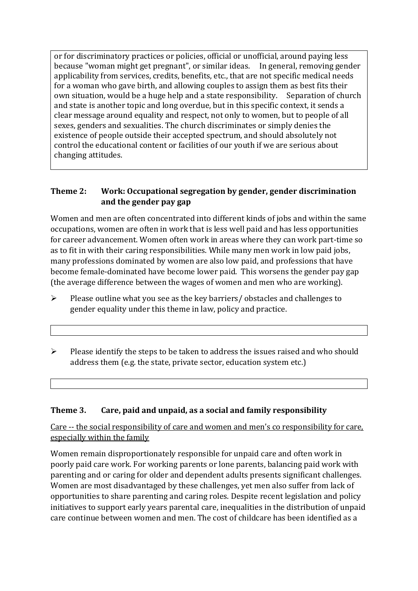or for discriminatory practices or policies, official or unofficial, around paying less because "woman might get pregnant", or similar ideas. In general, removing gender applicability from services, credits, benefits, etc., that are not specific medical needs for a woman who gave birth, and allowing couples to assign them as best fits their own situation, would be a huge help and a state responsibility. Separation of church and state is another topic and long overdue, but in this specific context, it sends a clear message around equality and respect, not only to women, but to people of all sexes, genders and sexualities. The church discriminates or simply denies the existence of people outside their accepted spectrum, and should absolutely not control the educational content or facilities of our youth if we are serious about changing attitudes.

### **Theme 2: Work: Occupational segregation by gender, gender discrimination and the gender pay gap**

Women and men are often concentrated into different kinds of jobs and within the same occupations, women are often in work that is less well paid and has less opportunities for career advancement. Women often work in areas where they can work part-time so as to fit in with their caring responsibilities. While many men work in low paid jobs, many professions dominated by women are also low paid, and professions that have become female-dominated have become lower paid. This worsens the gender pay gap (the average difference between the wages of women and men who are working).

- $\triangleright$  Please outline what you see as the key barriers/ obstacles and challenges to gender equality under this theme in law, policy and practice.
- $\triangleright$  Please identify the steps to be taken to address the issues raised and who should address them (e.g. the state, private sector, education system etc.)

#### **Theme 3. Care, paid and unpaid, as a social and family responsibility**

Care -- the social responsibility of care and women and men's co responsibility for care, especially within the family

Women remain disproportionately responsible for unpaid care and often work in poorly paid care work. For working parents or [lone parents,](https://aran.library.nuigalway.ie/bitstream/handle/10379/6044/Millar_and_Crosse_Activation_Report.pdf?sequence=1&isAllowed=y) balancing paid work with parenting and or caring for older and dependent adults presents significant challenges. Women are [most disadvantaged by these challenges,](https://eige.europa.eu/gender-equality-index/game/IE/W) yet men also suffer from lack of opportunities to share parenting and caring roles. Despite recent legislation and policy initiatives to support early years parental care, [inequalities in the distribution of unpaid](https://www.ihrec.ie/app/uploads/2019/07/Caring-and-Unpaid-Work-in-Ireland_Final.pdf)  [care](https://www.ihrec.ie/app/uploads/2019/07/Caring-and-Unpaid-Work-in-Ireland_Final.pdf) continue between women and men. The cost of childcare has been identified as a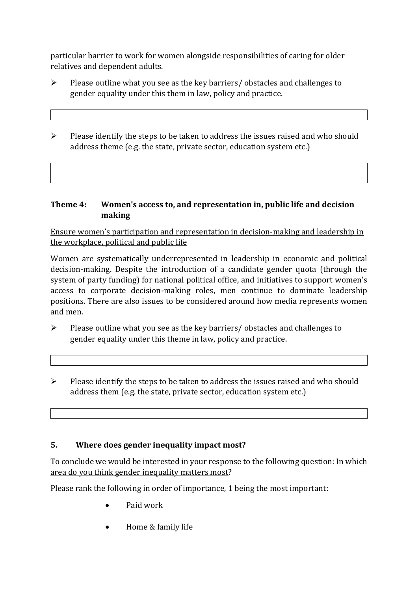particular barrier to work for women alongside responsibilities of caring for older relatives and dependent adults.

- $\triangleright$  Please outline what you see as the key barriers/ obstacles and challenges to gender equality under this them in law, policy and practice.
- $\triangleright$  Please identify the steps to be taken to address the issues raised and who should address theme (e.g. the state, private sector, education system etc.)

#### **Theme 4: Women's access to, and representation in, public life and decision making**

Ensure women's participation and representation in decision-making and leadership in the workplace, political and public life

Women are systematically underrepresented in leadership in [economic](https://eige.europa.eu/gender-equality-index/2019/compare-countries/power/2/bar) and [political](https://eige.europa.eu/gender-equality-index/2019/compare-countries/power/1/bar)  [decision-](https://eige.europa.eu/gender-equality-index/2019/compare-countries/power/1/bar)making. Despite the introduction of a candidate gender quota (through the system of party funding) for national political office, and [initiatives](https://betterbalance.ie/) to support women's access to corporate decision-making roles, men continue to dominate leadership positions. There are also issues to be considered around how media represents women and men.

- $\triangleright$  Please outline what you see as the key barriers/ obstacles and challenges to gender equality under this theme in law, policy and practice.
- $\triangleright$  Please identify the steps to be taken to address the issues raised and who should address them (e.g. the state, private sector, education system etc.)

### **5. Where does gender inequality impact most?**

To conclude we would be interested in your response to the following question: In which area do you think gender inequality matters most?

Please rank the following in order of importance, 1 being the most important:

- Paid work
- Home & family life